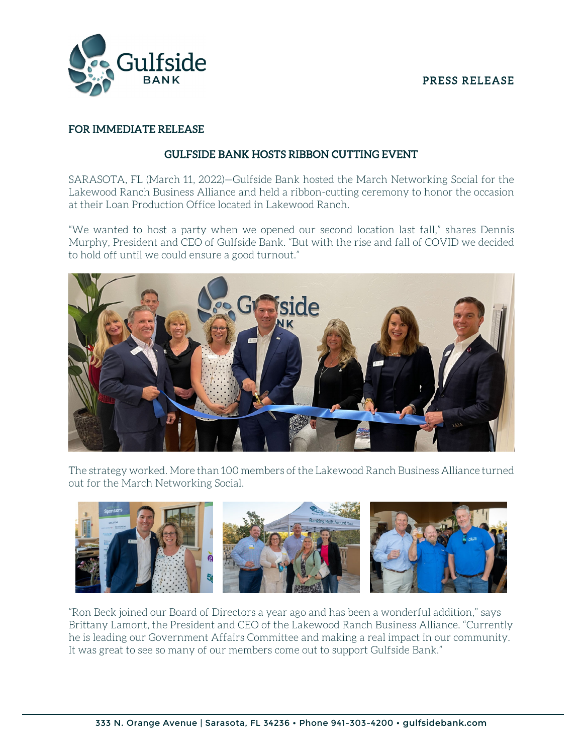### PRESS RELEASE



### FOR IMMEDIATE RELEASE

### GULFSIDE BANK HOSTS RIBBON CUTTING EVENT

SARASOTA, FL (March 11, 2022)—Gulfside Bank hosted the March Networking Social for the Lakewood Ranch Business Alliance and held a ribbon-cutting ceremony to honor the occasion at their Loan Production Office located in Lakewood Ranch.

"We wanted to host a party when we opened our second location last fall," shares Dennis Murphy, President and CEO of Gulfside Bank. "But with the rise and fall of COVID we decided to hold off until we could ensure a good turnout."



The strategy worked. More than 100 members of the Lakewood Ranch Business Alliance turned out for the March Networking Social.



"Ron Beck joined our Board of Directors a year ago and has been a wonderful addition," says Brittany Lamont, the President and CEO of the Lakewood Ranch Business Alliance. "Currently he is leading our Government Affairs Committee and making a real impact in our community. It was great to see so many of our members come out to support Gulfside Bank."